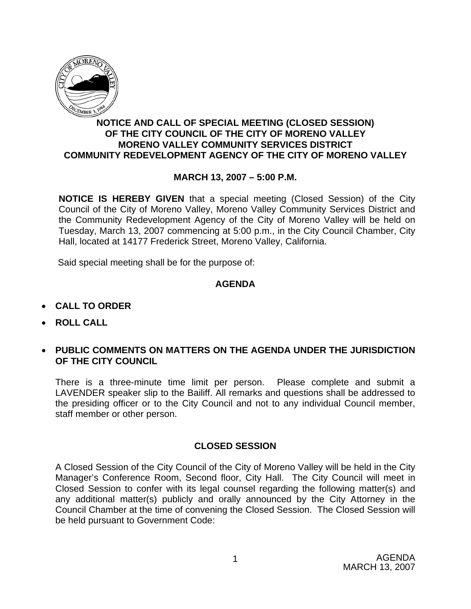

### **NOTICE AND CALL OF SPECIAL MEETING (CLOSED SESSION) OF THE CITY COUNCIL OF THE CITY OF MORENO VALLEY MORENO VALLEY COMMUNITY SERVICES DISTRICT COMMUNITY REDEVELOPMENT AGENCY OF THE CITY OF MORENO VALLEY**

## **MARCH 13, 2007 – 5:00 P.M.**

**NOTICE IS HEREBY GIVEN** that a special meeting (Closed Session) of the City Council of the City of Moreno Valley, Moreno Valley Community Services District and the Community Redevelopment Agency of the City of Moreno Valley will be held on Tuesday, March 13, 2007 commencing at 5:00 p.m., in the City Council Chamber, City Hall, located at 14177 Frederick Street, Moreno Valley, California.

Said special meeting shall be for the purpose of:

#### **AGENDA**

- **CALL TO ORDER**
- **ROLL CALL**
- **PUBLIC COMMENTS ON MATTERS ON THE AGENDA UNDER THE JURISDICTION OF THE CITY COUNCIL**

There is a three-minute time limit per person. Please complete and submit a LAVENDER speaker slip to the Bailiff. All remarks and questions shall be addressed to the presiding officer or to the City Council and not to any individual Council member, staff member or other person.

#### **CLOSED SESSION**

A Closed Session of the City Council of the City of Moreno Valley will be held in the City Manager's Conference Room, Second floor, City Hall. The City Council will meet in Closed Session to confer with its legal counsel regarding the following matter(s) and any additional matter(s) publicly and orally announced by the City Attorney in the Council Chamber at the time of convening the Closed Session. The Closed Session will be held pursuant to Government Code: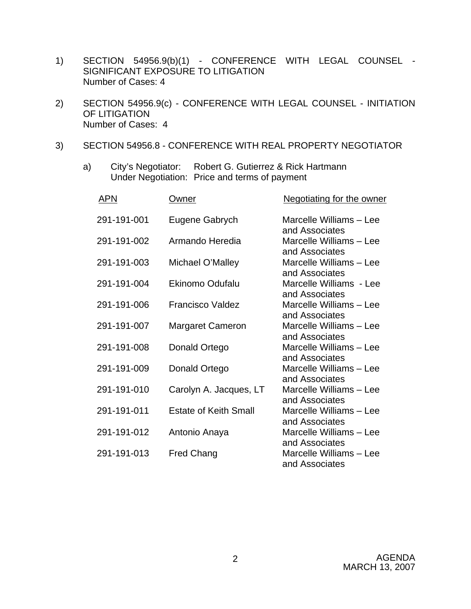- 1) SECTION 54956.9(b)(1) CONFERENCE WITH LEGAL COUNSEL SIGNIFICANT EXPOSURE TO LITIGATION Number of Cases: 4
- 2) SECTION 54956.9(c) CONFERENCE WITH LEGAL COUNSEL INITIATION OF LITIGATION Number of Cases: 4
- 3) SECTION 54956.8 CONFERENCE WITH REAL PROPERTY NEGOTIATOR
	- a) City's Negotiator: Robert G. Gutierrez & Rick Hartmann Under Negotiation: Price and terms of payment

| <b>APN</b>  | Owner                        | <b>Negotiating for the owner</b>          |
|-------------|------------------------------|-------------------------------------------|
| 291-191-001 | Eugene Gabrych               | Marcelle Williams - Lee                   |
| 291-191-002 | Armando Heredia              | and Associates<br>Marcelle Williams - Lee |
| 291-191-003 | Michael O'Malley             | and Associates<br>Marcelle Williams - Lee |
| 291-191-004 | <b>Ekinomo Odufalu</b>       | and Associates<br>Marcelle Williams - Lee |
| 291-191-006 | <b>Francisco Valdez</b>      | and Associates<br>Marcelle Williams - Lee |
| 291-191-007 | <b>Margaret Cameron</b>      | and Associates<br>Marcelle Williams - Lee |
| 291-191-008 | Donald Ortego                | and Associates<br>Marcelle Williams - Lee |
| 291-191-009 | Donald Ortego                | and Associates<br>Marcelle Williams - Lee |
| 291-191-010 | Carolyn A. Jacques, LT       | and Associates<br>Marcelle Williams - Lee |
| 291-191-011 | <b>Estate of Keith Small</b> | and Associates<br>Marcelle Williams - Lee |
| 291-191-012 | Antonio Anaya                | and Associates<br>Marcelle Williams - Lee |
| 291-191-013 | <b>Fred Chang</b>            | and Associates<br>Marcelle Williams - Lee |
|             |                              | and Associates                            |